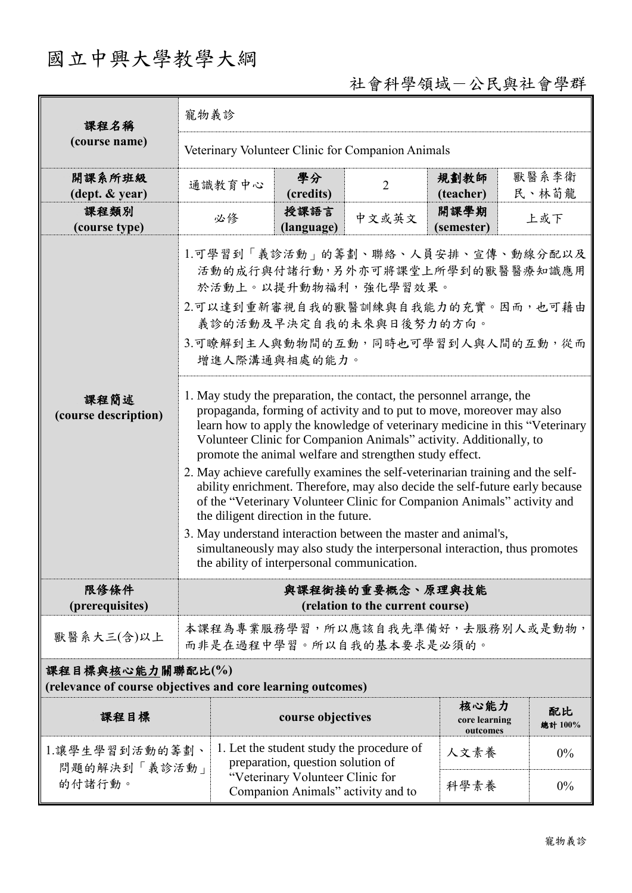# 國立中興大學教學大綱

# 社會科學領域-公民與社會學群

| 課程名稱<br>(course name)                                                           | 寵物義診                                                                                                                                                                                                                                                                                                                                                                                                                                                                                                                                                                                                                                                                                                                                                                                                                                                |                                                                                |                |                                   |                |  |  |  |
|---------------------------------------------------------------------------------|-----------------------------------------------------------------------------------------------------------------------------------------------------------------------------------------------------------------------------------------------------------------------------------------------------------------------------------------------------------------------------------------------------------------------------------------------------------------------------------------------------------------------------------------------------------------------------------------------------------------------------------------------------------------------------------------------------------------------------------------------------------------------------------------------------------------------------------------------------|--------------------------------------------------------------------------------|----------------|-----------------------------------|----------------|--|--|--|
|                                                                                 | Veterinary Volunteer Clinic for Companion Animals                                                                                                                                                                                                                                                                                                                                                                                                                                                                                                                                                                                                                                                                                                                                                                                                   |                                                                                |                |                                   |                |  |  |  |
| 開課系所班級<br>(dept. & year)                                                        | 通識教育中心                                                                                                                                                                                                                                                                                                                                                                                                                                                                                                                                                                                                                                                                                                                                                                                                                                              | 學分<br>(credits)                                                                | $\overline{2}$ | 規劃教師<br>(teacher)                 | 獸醫系李衛<br>民、林荀龍 |  |  |  |
| 課程類別<br>(course type)                                                           | 必修                                                                                                                                                                                                                                                                                                                                                                                                                                                                                                                                                                                                                                                                                                                                                                                                                                                  | 授課語言<br>(language)                                                             | 中文或英文          | 開課學期<br>(semester)                | 上或下            |  |  |  |
| 課程簡述<br>(course description)                                                    | 1.可學習到「義診活動」的籌劃、聯絡、人員安排、宣傳、動線分配以及<br>活動的成行與付諸行動,另外亦可將課堂上所學到的獸醫醫療知識應用<br>於活動上。以提升動物福利,強化學習效果。                                                                                                                                                                                                                                                                                                                                                                                                                                                                                                                                                                                                                                                                                                                                                        |                                                                                |                |                                   |                |  |  |  |
|                                                                                 | 2.可以達到重新審視自我的獸醫訓練與自我能力的充實。因而,也可藉由<br>義診的活動及早決定自我的未來與日後努力的方向。                                                                                                                                                                                                                                                                                                                                                                                                                                                                                                                                                                                                                                                                                                                                                                                        |                                                                                |                |                                   |                |  |  |  |
|                                                                                 | 3.可瞭解到主人與動物間的互動,同時也可學習到人與人間的互動,從而<br>增進人際溝通與相處的能力。                                                                                                                                                                                                                                                                                                                                                                                                                                                                                                                                                                                                                                                                                                                                                                                                  |                                                                                |                |                                   |                |  |  |  |
|                                                                                 | 1. May study the preparation, the contact, the personnel arrange, the<br>propaganda, forming of activity and to put to move, moreover may also<br>learn how to apply the knowledge of veterinary medicine in this "Veterinary<br>Volunteer Clinic for Companion Animals" activity. Additionally, to<br>promote the animal welfare and strengthen study effect.<br>2. May achieve carefully examines the self-veterinarian training and the self-<br>ability enrichment. Therefore, may also decide the self-future early because<br>of the "Veterinary Volunteer Clinic for Companion Animals" activity and<br>the diligent direction in the future.<br>3. May understand interaction between the master and animal's,<br>simultaneously may also study the interpersonal interaction, thus promotes<br>the ability of interpersonal communication. |                                                                                |                |                                   |                |  |  |  |
| 限修條件<br>(prerequisites)                                                         | 與課程銜接的重要概念、原理與技能<br>(relation to the current course)                                                                                                                                                                                                                                                                                                                                                                                                                                                                                                                                                                                                                                                                                                                                                                                                |                                                                                |                |                                   |                |  |  |  |
| 獸醫系大三(含)以上                                                                      | 本課程為專業服務學習,所以應該自我先準備好,去服務別人或是動物,<br>而非是在過程中學習。所以自我的基本要求是必須的。                                                                                                                                                                                                                                                                                                                                                                                                                                                                                                                                                                                                                                                                                                                                                                                        |                                                                                |                |                                   |                |  |  |  |
| 課程目標與核心能力關聯配比(%)<br>(relevance of course objectives and core learning outcomes) |                                                                                                                                                                                                                                                                                                                                                                                                                                                                                                                                                                                                                                                                                                                                                                                                                                                     |                                                                                |                |                                   |                |  |  |  |
| 課程目標                                                                            |                                                                                                                                                                                                                                                                                                                                                                                                                                                                                                                                                                                                                                                                                                                                                                                                                                                     | course objectives                                                              |                | 核心能力<br>core learning<br>outcomes | 配比<br>總計 100%  |  |  |  |
| 1.讓學生學習到活動的籌劃、<br>問題的解決到「義診活動」                                                  |                                                                                                                                                                                                                                                                                                                                                                                                                                                                                                                                                                                                                                                                                                                                                                                                                                                     | 1. Let the student study the procedure of<br>preparation, question solution of |                | 人文素養                              | $0\%$          |  |  |  |
| 的付諸行動。                                                                          |                                                                                                                                                                                                                                                                                                                                                                                                                                                                                                                                                                                                                                                                                                                                                                                                                                                     | "Veterinary Volunteer Clinic for<br>Companion Animals" activity and to         |                |                                   | $0\%$          |  |  |  |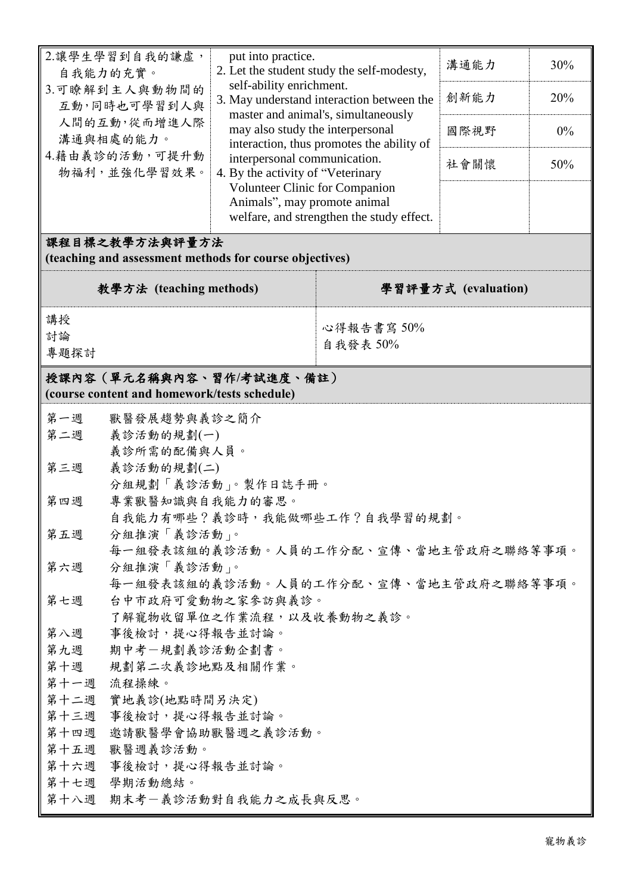| 2.讓學生學習到自我的謙虛,<br>自我能力的充實。<br>3.可瞭解到主人與動物間的<br>互動,同時也可學習到人與<br>人間的互動,從而增進人際<br>溝通與相處的能力。<br>4. 藉由義診的活動,可提升動<br>物福利,並強化學習效果。                                                                                                                                                                                                                                                                                                                                                                                                                                                                                                      |  | put into practice.<br>2. Let the student study the self-modesty,<br>self-ability enrichment.<br>3. May understand interaction between the<br>master and animal's, simultaneously<br>may also study the interpersonal<br>interaction, thus promotes the ability of<br>interpersonal communication.<br>4. By the activity of "Veterinary<br><b>Volunteer Clinic for Companion</b><br>Animals", may promote animal<br>welfare, and strengthen the study effect. |  | 溝通能力<br>創新能力<br>國際視野<br>社會關懷 | 30%<br>20%<br>0%<br>50% |  |  |  |  |
|----------------------------------------------------------------------------------------------------------------------------------------------------------------------------------------------------------------------------------------------------------------------------------------------------------------------------------------------------------------------------------------------------------------------------------------------------------------------------------------------------------------------------------------------------------------------------------------------------------------------------------|--|--------------------------------------------------------------------------------------------------------------------------------------------------------------------------------------------------------------------------------------------------------------------------------------------------------------------------------------------------------------------------------------------------------------------------------------------------------------|--|------------------------------|-------------------------|--|--|--|--|
| 課程目標之教學方法與評量方法<br>(teaching and assessment methods for course objectives)                                                                                                                                                                                                                                                                                                                                                                                                                                                                                                                                                        |  |                                                                                                                                                                                                                                                                                                                                                                                                                                                              |  |                              |                         |  |  |  |  |
| 教學方法 (teaching methods)                                                                                                                                                                                                                                                                                                                                                                                                                                                                                                                                                                                                          |  | 學習評量方式 (evaluation)                                                                                                                                                                                                                                                                                                                                                                                                                                          |  |                              |                         |  |  |  |  |
| 講授<br>討論<br>專題探討                                                                                                                                                                                                                                                                                                                                                                                                                                                                                                                                                                                                                 |  | 心得報告書寫50%<br>自我發表 50%                                                                                                                                                                                                                                                                                                                                                                                                                                        |  |                              |                         |  |  |  |  |
| 授課內容 (單元名稱與內容、習作/考試進度、備註)<br>(course content and homework/tests schedule)                                                                                                                                                                                                                                                                                                                                                                                                                                                                                                                                                        |  |                                                                                                                                                                                                                                                                                                                                                                                                                                                              |  |                              |                         |  |  |  |  |
| 第一週<br>獸醫發展趨勢與義診之簡介<br>第二週<br>義診活動的規劃(一)<br>義診所需的配備與人員。<br>第三週<br>義診活動的規劃(二)<br>分組規劃「義診活動」。製作日誌手冊。<br>專業獸醫知識與自我能力的審思。<br>第四週<br>自我能力有哪些?義診時,我能做哪些工作?自我學習的規劃。<br>第五週<br>分組推演「義診活動」。<br>每一組發表該組的義診活動。人員的工作分配、宣傳、當地主管政府之聯絡等事項。<br>第六週<br>分組推演「義診活動」。<br>每一組發表該組的義診活動。人員的工作分配、宣傳、當地主管政府之聯絡等事項。<br>台中市政府可愛動物之家參訪與義診。<br>第七週<br>了解寵物收留單位之作業流程,以及收養動物之義診。<br>事後檢討,提心得報告並討論。<br>第八週<br>第九週<br>期中考一規劃義診活動企劃書。<br>第十週<br>規劃第二次義診地點及相關作業。<br>第十一週<br>流程操練。<br>第十二週<br>實地義診(地點時間另決定)<br>第十三週<br>事後檢討,提心得報告並討論。<br>第十四週<br>邀請獸醫學會協助獸醫週之義診活動。<br>第十五週<br>獸醫週義診活動。<br>第十六週<br>事後檢討,提心得報告並討論。<br>第十七週<br>學期活動總結。<br>第十八週<br>期末考一義診活動對自我能力之成長與反思。 |  |                                                                                                                                                                                                                                                                                                                                                                                                                                                              |  |                              |                         |  |  |  |  |